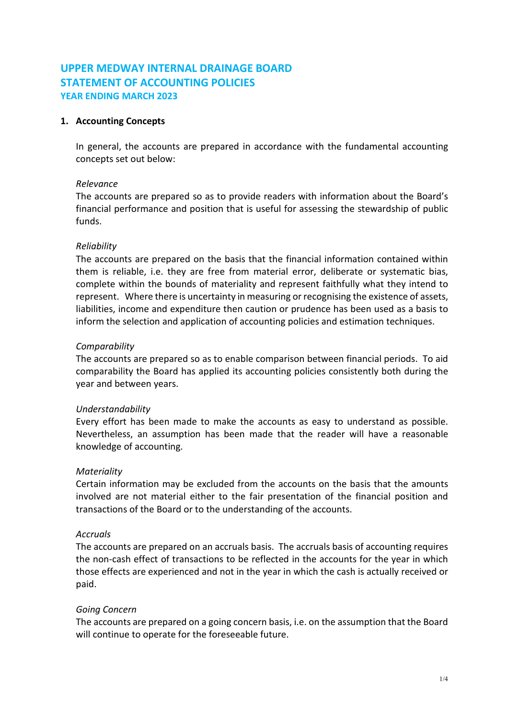# **UPPER MEDWAY INTERNAL DRAINAGE BOARD STATEMENT OF ACCOUNTING POLICIES YEAR ENDING MARCH 2023**

# **1. Accounting Concepts**

In general, the accounts are prepared in accordance with the fundamental accounting concepts set out below:

#### *Relevance*

The accounts are prepared so as to provide readers with information about the Board's financial performance and position that is useful for assessing the stewardship of public funds.

#### *Reliability*

The accounts are prepared on the basis that the financial information contained within them is reliable, i.e. they are free from material error, deliberate or systematic bias, complete within the bounds of materiality and represent faithfully what they intend to represent. Where there is uncertainty in measuring or recognising the existence of assets, liabilities, income and expenditure then caution or prudence has been used as a basis to inform the selection and application of accounting policies and estimation techniques.

# *Comparability*

The accounts are prepared so as to enable comparison between financial periods. To aid comparability the Board has applied its accounting policies consistently both during the year and between years.

#### *Understandability*

Every effort has been made to make the accounts as easy to understand as possible. Nevertheless, an assumption has been made that the reader will have a reasonable knowledge of accounting.

#### *Materiality*

Certain information may be excluded from the accounts on the basis that the amounts involved are not material either to the fair presentation of the financial position and transactions of the Board or to the understanding of the accounts.

#### *Accruals*

The accounts are prepared on an accruals basis. The accruals basis of accounting requires the non-cash effect of transactions to be reflected in the accounts for the year in which those effects are experienced and not in the year in which the cash is actually received or paid.

#### *Going Concern*

The accounts are prepared on a going concern basis, i.e. on the assumption that the Board will continue to operate for the foreseeable future.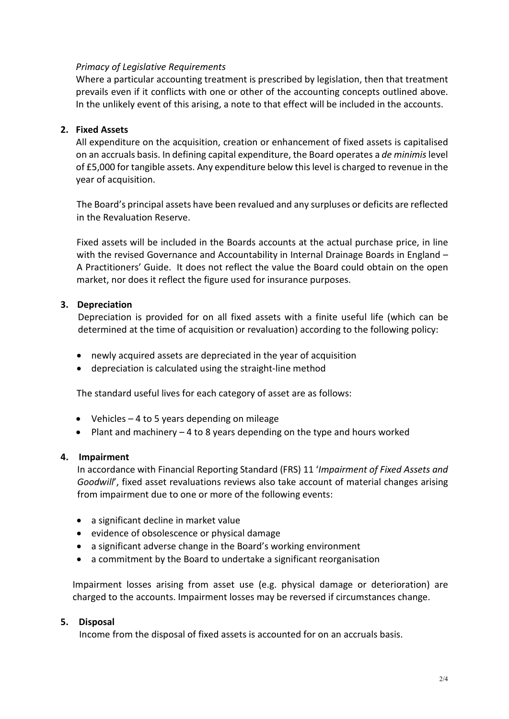### *Primacy of Legislative Requirements*

Where a particular accounting treatment is prescribed by legislation, then that treatment prevails even if it conflicts with one or other of the accounting concepts outlined above. In the unlikely event of this arising, a note to that effect will be included in the accounts.

# **2. Fixed Assets**

All expenditure on the acquisition, creation or enhancement of fixed assets is capitalised on an accruals basis. In defining capital expenditure, the Board operates a *de minimis* level of £5,000 for tangible assets. Any expenditure below this level is charged to revenue in the year of acquisition.

The Board's principal assets have been revalued and any surpluses or deficits are reflected in the Revaluation Reserve.

Fixed assets will be included in the Boards accounts at the actual purchase price, in line with the revised Governance and Accountability in Internal Drainage Boards in England -A Practitioners' Guide. It does not reflect the value the Board could obtain on the open market, nor does it reflect the figure used for insurance purposes.

# **3. Depreciation**

Depreciation is provided for on all fixed assets with a finite useful life (which can be determined at the time of acquisition or revaluation) according to the following policy:

- newly acquired assets are depreciated in the year of acquisition
- depreciation is calculated using the straight-line method

The standard useful lives for each category of asset are as follows:

- Vehicles 4 to 5 years depending on mileage
- Plant and machinery 4 to 8 years depending on the type and hours worked

#### **4. Impairment**

In accordance with Financial Reporting Standard (FRS) 11 '*Impairment of Fixed Assets and Goodwill*', fixed asset revaluations reviews also take account of material changes arising from impairment due to one or more of the following events:

- a significant decline in market value
- evidence of obsolescence or physical damage
- a significant adverse change in the Board's working environment
- a commitment by the Board to undertake a significant reorganisation

Impairment losses arising from asset use (e.g. physical damage or deterioration) are charged to the accounts. Impairment losses may be reversed if circumstances change.

#### **5. Disposal**

Income from the disposal of fixed assets is accounted for on an accruals basis.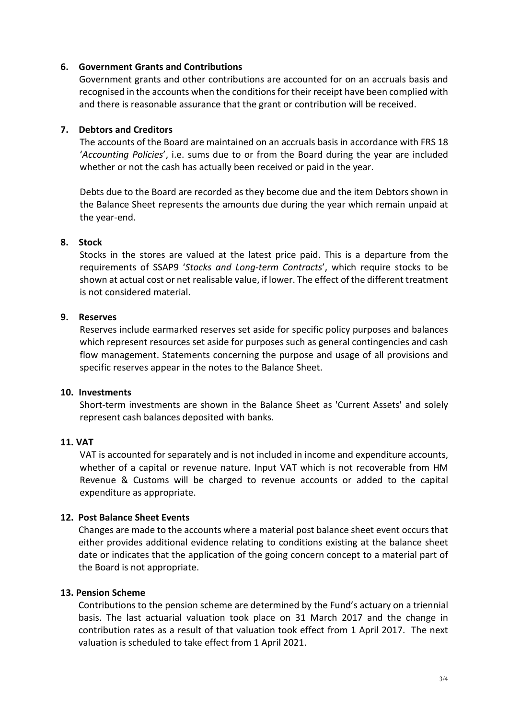#### **6. Government Grants and Contributions**

Government grants and other contributions are accounted for on an accruals basis and recognised in the accounts when the conditions for their receipt have been complied with and there is reasonable assurance that the grant or contribution will be received.

#### **7. Debtors and Creditors**

The accounts of the Board are maintained on an accruals basis in accordance with FRS 18 '*Accounting Policies*', i.e. sums due to or from the Board during the year are included whether or not the cash has actually been received or paid in the year.

Debts due to the Board are recorded as they become due and the item Debtors shown in the Balance Sheet represents the amounts due during the year which remain unpaid at the year-end.

#### **8. Stock**

Stocks in the stores are valued at the latest price paid. This is a departure from the requirements of SSAP9 '*Stocks and Long-term Contracts*', which require stocks to be shown at actual cost or net realisable value, if lower. The effect of the different treatment is not considered material.

#### **9. Reserves**

Reserves include earmarked reserves set aside for specific policy purposes and balances which represent resources set aside for purposes such as general contingencies and cash flow management. Statements concerning the purpose and usage of all provisions and specific reserves appear in the notes to the Balance Sheet.

#### **10. Investments**

Short-term investments are shown in the Balance Sheet as 'Current Assets' and solely represent cash balances deposited with banks.

#### **11. VAT**

VAT is accounted for separately and is not included in income and expenditure accounts, whether of a capital or revenue nature. Input VAT which is not recoverable from HM Revenue & Customs will be charged to revenue accounts or added to the capital expenditure as appropriate.

#### **12. Post Balance Sheet Events**

Changes are made to the accounts where a material post balance sheet event occurs that either provides additional evidence relating to conditions existing at the balance sheet date or indicates that the application of the going concern concept to a material part of the Board is not appropriate.

# **13. Pension Scheme**

Contributions to the pension scheme are determined by the Fund's actuary on a triennial basis. The last actuarial valuation took place on 31 March 2017 and the change in contribution rates as a result of that valuation took effect from 1 April 2017. The next valuation is scheduled to take effect from 1 April 2021.